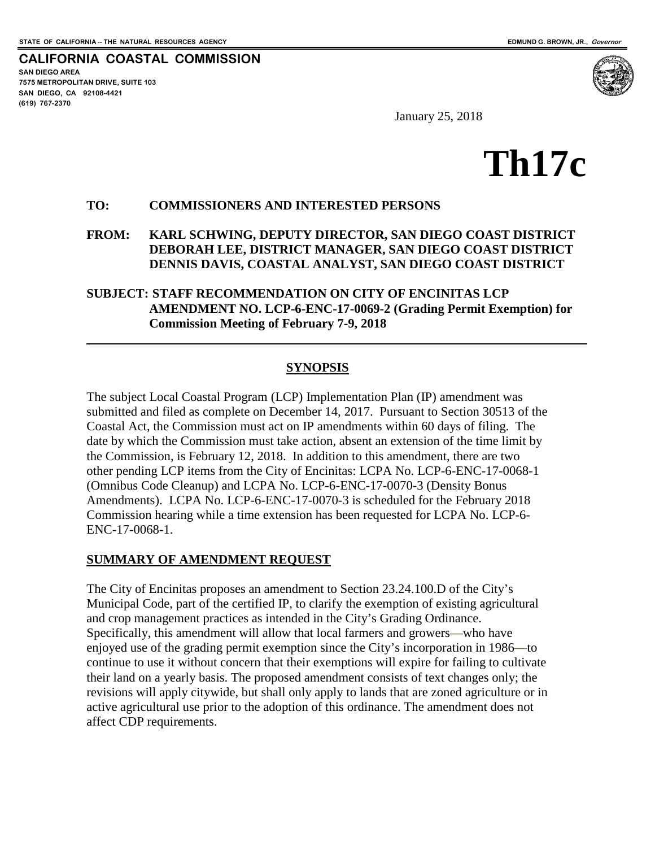**SAN DIEGO AREA**

**(619) 767-2370**

**7575 METROPOLITAN DRIVE, SUITE 103 SAN DIEGO, CA 92108-4421**

 $\overline{a}$ 

**CALIFORNIA COASTAL COMMISSION**

January 25, 2018

# **Th17c**

#### **TO: COMMISSIONERS AND INTERESTED PERSONS**

**FROM: KARL SCHWING, DEPUTY DIRECTOR, SAN DIEGO COAST DISTRICT DEBORAH LEE, DISTRICT MANAGER, SAN DIEGO COAST DISTRICT DENNIS DAVIS, COASTAL ANALYST, SAN DIEGO COAST DISTRICT**

**SUBJECT: STAFF RECOMMENDATION ON CITY OF ENCINITAS LCP AMENDMENT NO. LCP-6-ENC-17-0069-2 (Grading Permit Exemption) for Commission Meeting of February 7-9, 2018**

#### **SYNOPSIS**

The subject Local Coastal Program (LCP) Implementation Plan (IP) amendment was submitted and filed as complete on December 14, 2017. Pursuant to Section 30513 of the Coastal Act, the Commission must act on IP amendments within 60 days of filing. The date by which the Commission must take action, absent an extension of the time limit by the Commission, is February 12, 2018. In addition to this amendment, there are two other pending LCP items from the City of Encinitas: LCPA No. LCP-6-ENC-17-0068-1 (Omnibus Code Cleanup) and LCPA No. LCP-6-ENC-17-0070-3 (Density Bonus Amendments). LCPA No. LCP-6-ENC-17-0070-3 is scheduled for the February 2018 Commission hearing while a time extension has been requested for LCPA No. LCP-6- ENC-17-0068-1.

#### **SUMMARY OF AMENDMENT REQUEST**

The City of Encinitas proposes an amendment to Section 23.24.100.D of the City's Municipal Code, part of the certified IP, to clarify the exemption of existing agricultural and crop management practices as intended in the City's Grading Ordinance. Specifically, this amendment will allow that local farmers and growers—who have enjoyed use of the grading permit exemption since the City's incorporation in 1986—to continue to use it without concern that their exemptions will expire for failing to cultivate their land on a yearly basis. The proposed amendment consists of text changes only; the revisions will apply citywide, but shall only apply to lands that are zoned agriculture or in active agricultural use prior to the adoption of this ordinance. The amendment does not affect CDP requirements.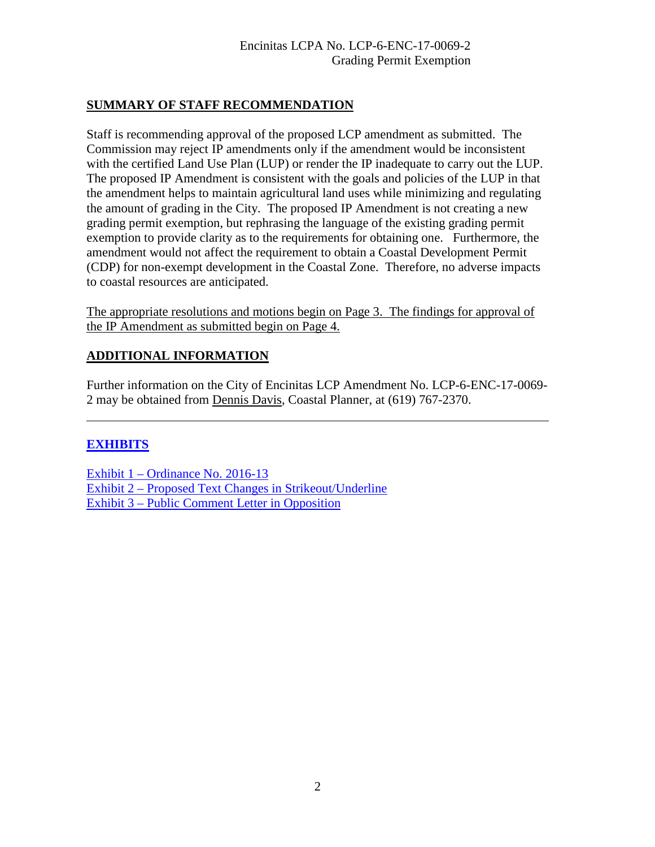#### **SUMMARY OF STAFF RECOMMENDATION**

Staff is recommending approval of the proposed LCP amendment as submitted. The Commission may reject IP amendments only if the amendment would be inconsistent with the certified Land Use Plan (LUP) or render the IP inadequate to carry out the LUP. The proposed IP Amendment is consistent with the goals and policies of the LUP in that the amendment helps to maintain agricultural land uses while minimizing and regulating the amount of grading in the City. The proposed IP Amendment is not creating a new grading permit exemption, but rephrasing the language of the existing grading permit exemption to provide clarity as to the requirements for obtaining one. Furthermore, the amendment would not affect the requirement to obtain a Coastal Development Permit (CDP) for non-exempt development in the Coastal Zone. Therefore, no adverse impacts to coastal resources are anticipated.

The appropriate resolutions and motions begin on Page 3. The findings for approval of the IP Amendment as submitted begin on Page 4.

## **ADDITIONAL INFORMATION**

Further information on the City of Encinitas LCP Amendment No. LCP-6-ENC-17-0069- 2 may be obtained from Dennis Davis, Coastal Planner, at (619) 767-2370.

## **[EXHIBITS](https://documents.coastal.ca.gov/reports/2018/2/Th17c/Th17c-2-2018-exhibits.pdf)**

 $\overline{a}$ 

[Exhibit 1 – Ordinance No. 2016-13](https://documents.coastal.ca.gov/reports/2018/2/Th17c/Th17c-2-2018-exhibits.pdf)  [Exhibit 2 – Proposed Text Changes in Strikeout/Underline](https://documents.coastal.ca.gov/reports/2018/2/Th17c/Th17c-2-2018-exhibits.pdf)  [Exhibit 3 – Public Comment Letter in Opposition](https://documents.coastal.ca.gov/reports/2018/2/Th17c/Th17c-2-2018-exhibits.pdf)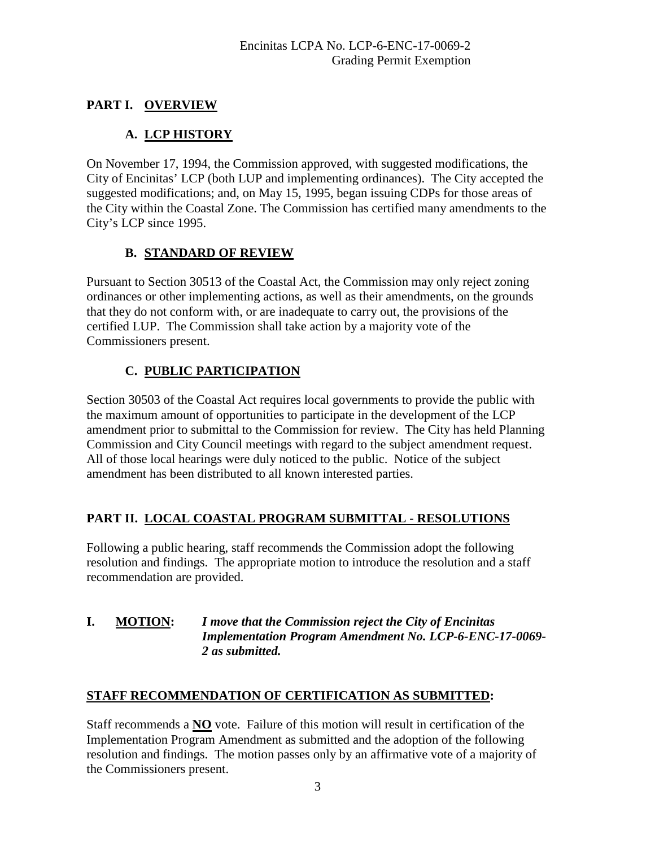# **PART I. OVERVIEW**

# **A. LCP HISTORY**

On November 17, 1994, the Commission approved, with suggested modifications, the City of Encinitas' LCP (both LUP and implementing ordinances). The City accepted the suggested modifications; and, on May 15, 1995, began issuing CDPs for those areas of the City within the Coastal Zone. The Commission has certified many amendments to the City's LCP since 1995.

## **B. STANDARD OF REVIEW**

Pursuant to Section 30513 of the Coastal Act, the Commission may only reject zoning ordinances or other implementing actions, as well as their amendments, on the grounds that they do not conform with, or are inadequate to carry out, the provisions of the certified LUP. The Commission shall take action by a majority vote of the Commissioners present.

# **C. PUBLIC PARTICIPATION**

Section 30503 of the Coastal Act requires local governments to provide the public with the maximum amount of opportunities to participate in the development of the LCP amendment prior to submittal to the Commission for review. The City has held Planning Commission and City Council meetings with regard to the subject amendment request. All of those local hearings were duly noticed to the public. Notice of the subject amendment has been distributed to all known interested parties.

## **PART II. LOCAL COASTAL PROGRAM SUBMITTAL - RESOLUTIONS**

Following a public hearing, staff recommends the Commission adopt the following resolution and findings. The appropriate motion to introduce the resolution and a staff recommendation are provided.

#### **I. MOTION:** *I move that the Commission reject the City of Encinitas Implementation Program Amendment No. LCP-6-ENC-17-0069- 2 as submitted.*

## **STAFF RECOMMENDATION OF CERTIFICATION AS SUBMITTED:**

Staff recommends a **NO** vote. Failure of this motion will result in certification of the Implementation Program Amendment as submitted and the adoption of the following resolution and findings. The motion passes only by an affirmative vote of a majority of the Commissioners present.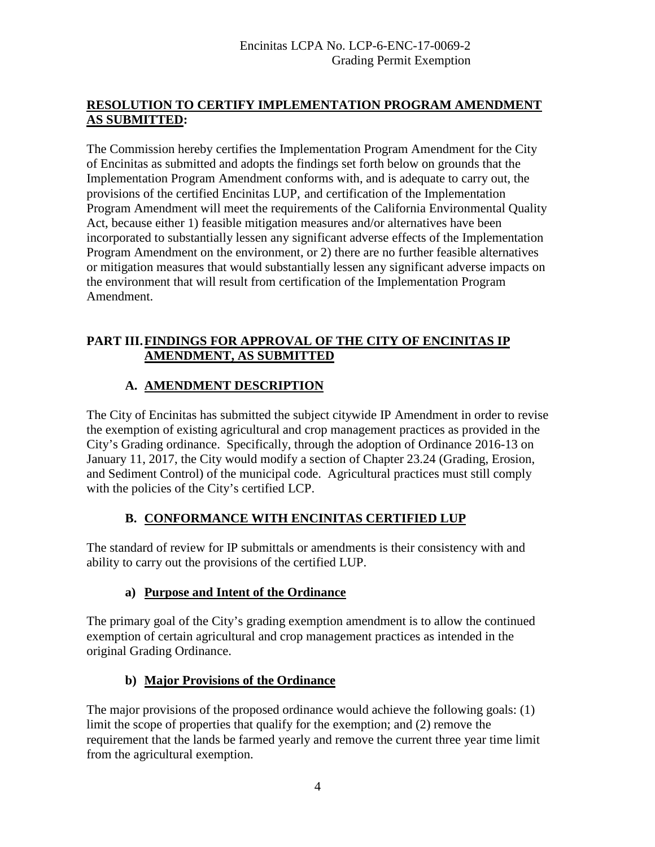## **RESOLUTION TO CERTIFY IMPLEMENTATION PROGRAM AMENDMENT AS SUBMITTED:**

The Commission hereby certifies the Implementation Program Amendment for the City of Encinitas as submitted and adopts the findings set forth below on grounds that the Implementation Program Amendment conforms with, and is adequate to carry out, the provisions of the certified Encinitas LUP, and certification of the Implementation Program Amendment will meet the requirements of the California Environmental Quality Act, because either 1) feasible mitigation measures and/or alternatives have been incorporated to substantially lessen any significant adverse effects of the Implementation Program Amendment on the environment, or 2) there are no further feasible alternatives or mitigation measures that would substantially lessen any significant adverse impacts on the environment that will result from certification of the Implementation Program Amendment.

## **PART III.FINDINGS FOR APPROVAL OF THE CITY OF ENCINITAS IP AMENDMENT, AS SUBMITTED**

## **A. AMENDMENT DESCRIPTION**

The City of Encinitas has submitted the subject citywide IP Amendment in order to revise the exemption of existing agricultural and crop management practices as provided in the City's Grading ordinance. Specifically, through the adoption of Ordinance 2016-13 on January 11, 2017, the City would modify a section of Chapter 23.24 (Grading, Erosion, and Sediment Control) of the municipal code. Agricultural practices must still comply with the policies of the City's certified LCP.

## **B. CONFORMANCE WITH ENCINITAS CERTIFIED LUP**

The standard of review for IP submittals or amendments is their consistency with and ability to carry out the provisions of the certified LUP.

## **a) Purpose and Intent of the Ordinance**

The primary goal of the City's grading exemption amendment is to allow the continued exemption of certain agricultural and crop management practices as intended in the original Grading Ordinance.

## **b) Major Provisions of the Ordinance**

The major provisions of the proposed ordinance would achieve the following goals: (1) limit the scope of properties that qualify for the exemption; and (2) remove the requirement that the lands be farmed yearly and remove the current three year time limit from the agricultural exemption.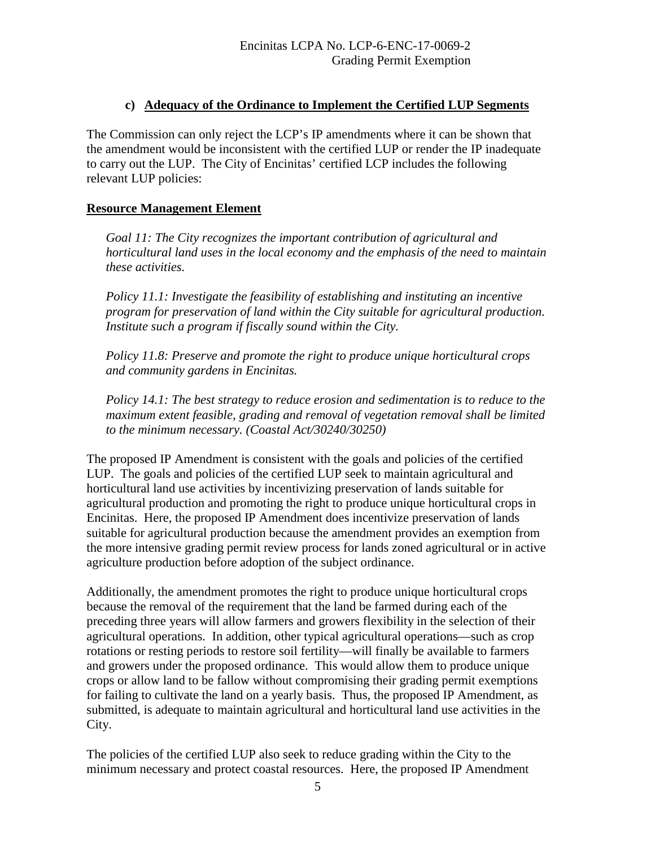#### **c) Adequacy of the Ordinance to Implement the Certified LUP Segments**

The Commission can only reject the LCP's IP amendments where it can be shown that the amendment would be inconsistent with the certified LUP or render the IP inadequate to carry out the LUP. The City of Encinitas' certified LCP includes the following relevant LUP policies:

## **Resource Management Element**

*Goal 11: The City recognizes the important contribution of agricultural and horticultural land uses in the local economy and the emphasis of the need to maintain these activities.* 

*Policy 11.1: Investigate the feasibility of establishing and instituting an incentive program for preservation of land within the City suitable for agricultural production. Institute such a program if fiscally sound within the City.*

*Policy 11.8: Preserve and promote the right to produce unique horticultural crops and community gardens in Encinitas.* 

*Policy 14.1: The best strategy to reduce erosion and sedimentation is to reduce to the maximum extent feasible, grading and removal of vegetation removal shall be limited to the minimum necessary. (Coastal Act/30240/30250)* 

The proposed IP Amendment is consistent with the goals and policies of the certified LUP. The goals and policies of the certified LUP seek to maintain agricultural and horticultural land use activities by incentivizing preservation of lands suitable for agricultural production and promoting the right to produce unique horticultural crops in Encinitas. Here, the proposed IP Amendment does incentivize preservation of lands suitable for agricultural production because the amendment provides an exemption from the more intensive grading permit review process for lands zoned agricultural or in active agriculture production before adoption of the subject ordinance.

Additionally, the amendment promotes the right to produce unique horticultural crops because the removal of the requirement that the land be farmed during each of the preceding three years will allow farmers and growers flexibility in the selection of their agricultural operations. In addition, other typical agricultural operations—such as crop rotations or resting periods to restore soil fertility—will finally be available to farmers and growers under the proposed ordinance. This would allow them to produce unique crops or allow land to be fallow without compromising their grading permit exemptions for failing to cultivate the land on a yearly basis. Thus, the proposed IP Amendment, as submitted, is adequate to maintain agricultural and horticultural land use activities in the City.

The policies of the certified LUP also seek to reduce grading within the City to the minimum necessary and protect coastal resources. Here, the proposed IP Amendment